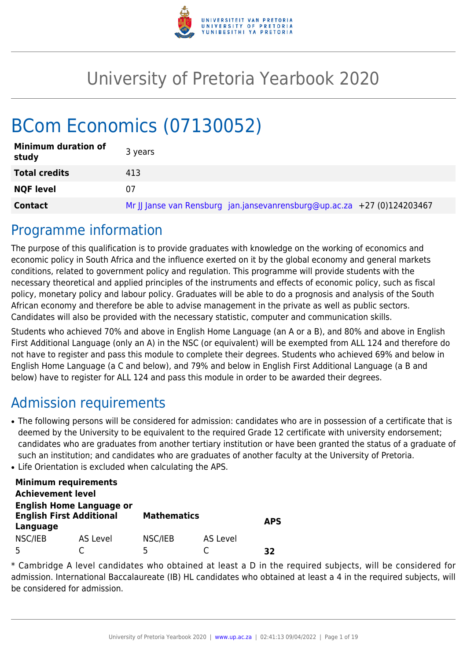

# University of Pretoria Yearbook 2020

# BCom Economics (07130052)

| <b>Minimum duration of</b><br>study | 3 years                                                                 |
|-------------------------------------|-------------------------------------------------------------------------|
| <b>Total credits</b>                | 413                                                                     |
| <b>NQF level</b>                    | 07                                                                      |
| <b>Contact</b>                      | Mr JJ Janse van Rensburg jan.jansevanrensburg@up.ac.za +27 (0)124203467 |

# Programme information

The purpose of this qualification is to provide graduates with knowledge on the working of economics and economic policy in South Africa and the influence exerted on it by the global economy and general markets conditions, related to government policy and regulation. This programme will provide students with the necessary theoretical and applied principles of the instruments and effects of economic policy, such as fiscal policy, monetary policy and labour policy. Graduates will be able to do a prognosis and analysis of the South African economy and therefore be able to advise management in the private as well as public sectors. Candidates will also be provided with the necessary statistic, computer and communication skills.

Students who achieved 70% and above in English Home Language (an A or a B), and 80% and above in English First Additional Language (only an A) in the NSC (or equivalent) will be exempted from ALL 124 and therefore do not have to register and pass this module to complete their degrees. Students who achieved 69% and below in English Home Language (a C and below), and 79% and below in English First Additional Language (a B and below) have to register for ALL 124 and pass this module in order to be awarded their degrees.

# Admission requirements

- The following persons will be considered for admission: candidates who are in possession of a certificate that is deemed by the University to be equivalent to the required Grade 12 certificate with university endorsement; candidates who are graduates from another tertiary institution or have been granted the status of a graduate of such an institution; and candidates who are graduates of another faculty at the University of Pretoria.
- Life Orientation is excluded when calculating the APS.

|                                                                                | <b>Minimum requirements</b> |                    |          |            |
|--------------------------------------------------------------------------------|-----------------------------|--------------------|----------|------------|
| <b>Achievement level</b>                                                       |                             |                    |          |            |
| <b>English Home Language or</b><br><b>English First Additional</b><br>Language |                             | <b>Mathematics</b> |          | <b>APS</b> |
| NSC/IEB                                                                        | AS Level                    | NSC/IEB            | AS Level |            |
| 5                                                                              |                             | 5                  |          | つつ         |

\* Cambridge A level candidates who obtained at least a D in the required subjects, will be considered for admission. International Baccalaureate (IB) HL candidates who obtained at least a 4 in the required subjects, will be considered for admission.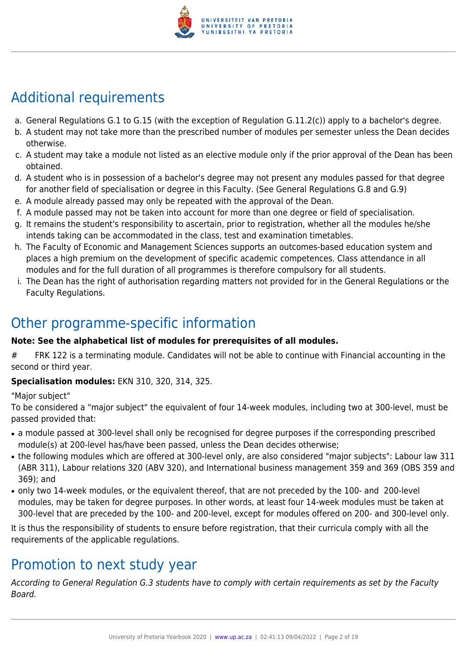

# Additional requirements

- a. General Regulations G.1 to G.15 (with the exception of Regulation G.11.2(c)) apply to a bachelor's degree.
- b. A student may not take more than the prescribed number of modules per semester unless the Dean decides otherwise.
- c. A student may take a module not listed as an elective module only if the prior approval of the Dean has been obtained.
- d. A student who is in possession of a bachelor's degree may not present any modules passed for that degree for another field of specialisation or degree in this Faculty. (See General Regulations G.8 and G.9)
- e. A module already passed may only be repeated with the approval of the Dean.
- f. A module passed may not be taken into account for more than one degree or field of specialisation.
- g. It remains the student's responsibility to ascertain, prior to registration, whether all the modules he/she intends taking can be accommodated in the class, test and examination timetables.
- h. The Faculty of Economic and Management Sciences supports an outcomes-based education system and places a high premium on the development of specific academic competences. Class attendance in all modules and for the full duration of all programmes is therefore compulsory for all students.
- i. The Dean has the right of authorisation regarding matters not provided for in the General Regulations or the Faculty Regulations.

# Other programme-specific information

# **Note: See the alphabetical list of modules for prerequisites of all modules.**

# FRK 122 is a terminating module. Candidates will not be able to continue with Financial accounting in the second or third year.

# **Specialisation modules:** EKN 310, 320, 314, 325.

"Major subject"

To be considered a "major subject" the equivalent of four 14-week modules, including two at 300-level, must be passed provided that:

- a module passed at 300-level shall only be recognised for degree purposes if the corresponding prescribed module(s) at 200-level has/have been passed, unless the Dean decides otherwise;
- the following modules which are offered at 300-level only, are also considered "major subjects": Labour law 311 (ABR 311), Labour relations 320 (ABV 320), and International business management 359 and 369 (OBS 359 and 369); and
- only two 14-week modules, or the equivalent thereof, that are not preceded by the 100- and 200-level modules, may be taken for degree purposes. In other words, at least four 14-week modules must be taken at 300-level that are preceded by the 100- and 200-level, except for modules offered on 200- and 300-level only.

It is thus the responsibility of students to ensure before registration, that their curricula comply with all the requirements of the applicable regulations.

# Promotion to next study year

According to General Regulation G.3 students have to comply with certain requirements as set by the Faculty Board.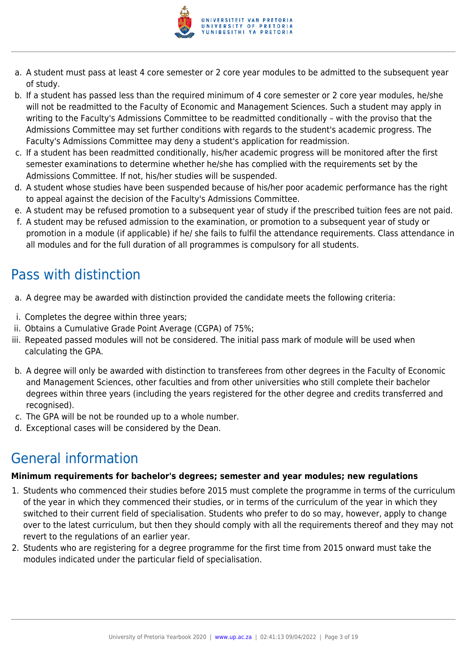

- a. A student must pass at least 4 core semester or 2 core year modules to be admitted to the subsequent year of study.
- b. If a student has passed less than the required minimum of 4 core semester or 2 core year modules, he/she will not be readmitted to the Faculty of Economic and Management Sciences. Such a student may apply in writing to the Faculty's Admissions Committee to be readmitted conditionally – with the proviso that the Admissions Committee may set further conditions with regards to the student's academic progress. The Faculty's Admissions Committee may deny a student's application for readmission.
- c. If a student has been readmitted conditionally, his/her academic progress will be monitored after the first semester examinations to determine whether he/she has complied with the requirements set by the Admissions Committee. If not, his/her studies will be suspended.
- d. A student whose studies have been suspended because of his/her poor academic performance has the right to appeal against the decision of the Faculty's Admissions Committee.
- e. A student may be refused promotion to a subsequent year of study if the prescribed tuition fees are not paid.
- f. A student may be refused admission to the examination, or promotion to a subsequent year of study or promotion in a module (if applicable) if he/ she fails to fulfil the attendance requirements. Class attendance in all modules and for the full duration of all programmes is compulsory for all students.

# Pass with distinction

- a. A degree may be awarded with distinction provided the candidate meets the following criteria:
- i. Completes the degree within three years;
- ii. Obtains a Cumulative Grade Point Average (CGPA) of 75%;
- iii. Repeated passed modules will not be considered. The initial pass mark of module will be used when calculating the GPA.
- b. A degree will only be awarded with distinction to transferees from other degrees in the Faculty of Economic and Management Sciences, other faculties and from other universities who still complete their bachelor degrees within three years (including the years registered for the other degree and credits transferred and recognised).
- c. The GPA will be not be rounded up to a whole number.
- d. Exceptional cases will be considered by the Dean.

# General information

#### **Minimum requirements for bachelor's degrees; semester and year modules; new regulations**

- 1. Students who commenced their studies before 2015 must complete the programme in terms of the curriculum of the year in which they commenced their studies, or in terms of the curriculum of the year in which they switched to their current field of specialisation. Students who prefer to do so may, however, apply to change over to the latest curriculum, but then they should comply with all the requirements thereof and they may not revert to the regulations of an earlier year.
- 2. Students who are registering for a degree programme for the first time from 2015 onward must take the modules indicated under the particular field of specialisation.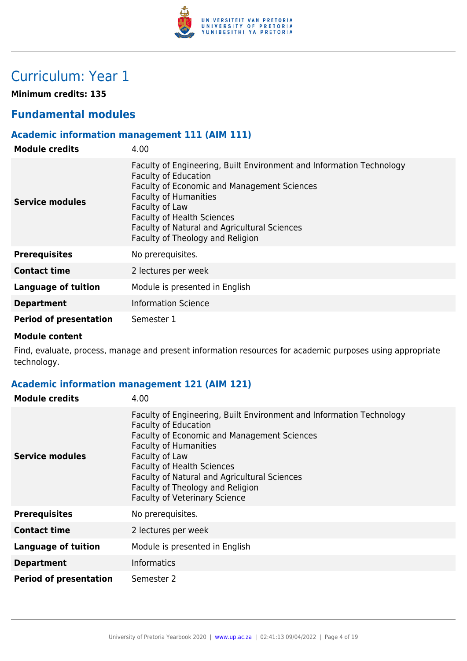

# Curriculum: Year 1

**Minimum credits: 135**

# **Fundamental modules**

# **Academic information management 111 (AIM 111)**

| <b>Module credits</b>         | 4.00                                                                                                                                                                                                                                                                                                                          |
|-------------------------------|-------------------------------------------------------------------------------------------------------------------------------------------------------------------------------------------------------------------------------------------------------------------------------------------------------------------------------|
| Service modules               | Faculty of Engineering, Built Environment and Information Technology<br><b>Faculty of Education</b><br>Faculty of Economic and Management Sciences<br><b>Faculty of Humanities</b><br>Faculty of Law<br><b>Faculty of Health Sciences</b><br>Faculty of Natural and Agricultural Sciences<br>Faculty of Theology and Religion |
| <b>Prerequisites</b>          | No prerequisites.                                                                                                                                                                                                                                                                                                             |
| <b>Contact time</b>           | 2 lectures per week                                                                                                                                                                                                                                                                                                           |
| <b>Language of tuition</b>    | Module is presented in English                                                                                                                                                                                                                                                                                                |
| <b>Department</b>             | <b>Information Science</b>                                                                                                                                                                                                                                                                                                    |
| <b>Period of presentation</b> | Semester 1                                                                                                                                                                                                                                                                                                                    |

#### **Module content**

Find, evaluate, process, manage and present information resources for academic purposes using appropriate technology.

# **Academic information management 121 (AIM 121)**

| <b>Module credits</b>         | 4.00                                                                                                                                                                                                                                                                                                                                                                  |
|-------------------------------|-----------------------------------------------------------------------------------------------------------------------------------------------------------------------------------------------------------------------------------------------------------------------------------------------------------------------------------------------------------------------|
| Service modules               | Faculty of Engineering, Built Environment and Information Technology<br><b>Faculty of Education</b><br>Faculty of Economic and Management Sciences<br><b>Faculty of Humanities</b><br>Faculty of Law<br><b>Faculty of Health Sciences</b><br>Faculty of Natural and Agricultural Sciences<br>Faculty of Theology and Religion<br><b>Faculty of Veterinary Science</b> |
| <b>Prerequisites</b>          | No prerequisites.                                                                                                                                                                                                                                                                                                                                                     |
| <b>Contact time</b>           | 2 lectures per week                                                                                                                                                                                                                                                                                                                                                   |
| <b>Language of tuition</b>    | Module is presented in English                                                                                                                                                                                                                                                                                                                                        |
| <b>Department</b>             | <b>Informatics</b>                                                                                                                                                                                                                                                                                                                                                    |
| <b>Period of presentation</b> | Semester 2                                                                                                                                                                                                                                                                                                                                                            |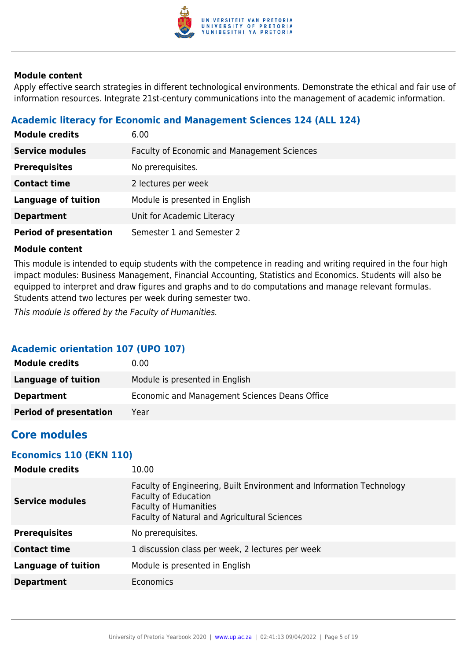

Apply effective search strategies in different technological environments. Demonstrate the ethical and fair use of information resources. Integrate 21st-century communications into the management of academic information.

# **Academic literacy for Economic and Management Sciences 124 (ALL 124)**

| <b>Module credits</b>         | 6.00                                               |
|-------------------------------|----------------------------------------------------|
| <b>Service modules</b>        | <b>Faculty of Economic and Management Sciences</b> |
| <b>Prerequisites</b>          | No prerequisites.                                  |
| <b>Contact time</b>           | 2 lectures per week                                |
| <b>Language of tuition</b>    | Module is presented in English                     |
| <b>Department</b>             | Unit for Academic Literacy                         |
| <b>Period of presentation</b> | Semester 1 and Semester 2                          |

### **Module content**

This module is intended to equip students with the competence in reading and writing required in the four high impact modules: Business Management, Financial Accounting, Statistics and Economics. Students will also be equipped to interpret and draw figures and graphs and to do computations and manage relevant formulas. Students attend two lectures per week during semester two.

This module is offered by the Faculty of Humanities.

# **Academic orientation 107 (UPO 107)**

| <b>Module credits</b>         | 0.00                                          |
|-------------------------------|-----------------------------------------------|
| Language of tuition           | Module is presented in English                |
| <b>Department</b>             | Economic and Management Sciences Deans Office |
| <b>Period of presentation</b> | Year                                          |

# **Core modules**

# **Economics 110 (EKN 110)**

| <b>Module credits</b>      | 10.00                                                                                                                                                                               |
|----------------------------|-------------------------------------------------------------------------------------------------------------------------------------------------------------------------------------|
| <b>Service modules</b>     | Faculty of Engineering, Built Environment and Information Technology<br><b>Faculty of Education</b><br><b>Faculty of Humanities</b><br>Faculty of Natural and Agricultural Sciences |
| <b>Prerequisites</b>       | No prerequisites.                                                                                                                                                                   |
| <b>Contact time</b>        | 1 discussion class per week, 2 lectures per week                                                                                                                                    |
| <b>Language of tuition</b> | Module is presented in English                                                                                                                                                      |
| <b>Department</b>          | Economics                                                                                                                                                                           |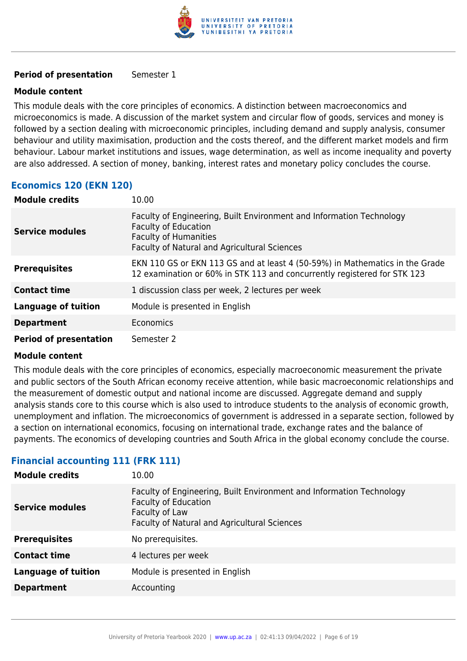

#### **Period of presentation** Semester 1

#### **Module content**

This module deals with the core principles of economics. A distinction between macroeconomics and microeconomics is made. A discussion of the market system and circular flow of goods, services and money is followed by a section dealing with microeconomic principles, including demand and supply analysis, consumer behaviour and utility maximisation, production and the costs thereof, and the different market models and firm behaviour. Labour market institutions and issues, wage determination, as well as income inequality and poverty are also addressed. A section of money, banking, interest rates and monetary policy concludes the course.

# **Economics 120 (EKN 120)**

| <b>Module credits</b>         | 10.00                                                                                                                                                                               |
|-------------------------------|-------------------------------------------------------------------------------------------------------------------------------------------------------------------------------------|
| <b>Service modules</b>        | Faculty of Engineering, Built Environment and Information Technology<br><b>Faculty of Education</b><br><b>Faculty of Humanities</b><br>Faculty of Natural and Agricultural Sciences |
| <b>Prerequisites</b>          | EKN 110 GS or EKN 113 GS and at least 4 (50-59%) in Mathematics in the Grade<br>12 examination or 60% in STK 113 and concurrently registered for STK 123                            |
| <b>Contact time</b>           | 1 discussion class per week, 2 lectures per week                                                                                                                                    |
| <b>Language of tuition</b>    | Module is presented in English                                                                                                                                                      |
| <b>Department</b>             | <b>Economics</b>                                                                                                                                                                    |
| <b>Period of presentation</b> | Semester 2                                                                                                                                                                          |

#### **Module content**

This module deals with the core principles of economics, especially macroeconomic measurement the private and public sectors of the South African economy receive attention, while basic macroeconomic relationships and the measurement of domestic output and national income are discussed. Aggregate demand and supply analysis stands core to this course which is also used to introduce students to the analysis of economic growth, unemployment and inflation. The microeconomics of government is addressed in a separate section, followed by a section on international economics, focusing on international trade, exchange rates and the balance of payments. The economics of developing countries and South Africa in the global economy conclude the course.

# **Financial accounting 111 (FRK 111)**

| <b>Module credits</b>      | 10.00                                                                                                                                                                        |
|----------------------------|------------------------------------------------------------------------------------------------------------------------------------------------------------------------------|
| <b>Service modules</b>     | Faculty of Engineering, Built Environment and Information Technology<br><b>Faculty of Education</b><br>Faculty of Law<br><b>Faculty of Natural and Agricultural Sciences</b> |
| <b>Prerequisites</b>       | No prerequisites.                                                                                                                                                            |
| <b>Contact time</b>        | 4 lectures per week                                                                                                                                                          |
| <b>Language of tuition</b> | Module is presented in English                                                                                                                                               |
| <b>Department</b>          | Accounting                                                                                                                                                                   |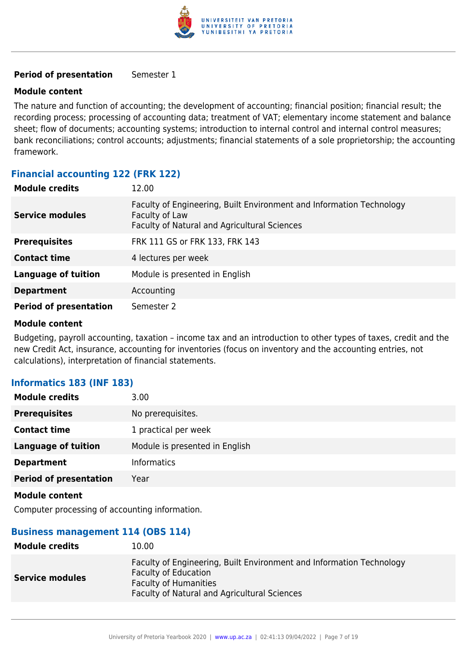

#### **Period of presentation** Semester 1

#### **Module content**

The nature and function of accounting; the development of accounting; financial position; financial result; the recording process; processing of accounting data; treatment of VAT; elementary income statement and balance sheet; flow of documents; accounting systems; introduction to internal control and internal control measures; bank reconciliations; control accounts; adjustments; financial statements of a sole proprietorship; the accounting framework.

# **Financial accounting 122 (FRK 122)**

| <b>Module credits</b>         | 12.00                                                                                                                                  |
|-------------------------------|----------------------------------------------------------------------------------------------------------------------------------------|
| <b>Service modules</b>        | Faculty of Engineering, Built Environment and Information Technology<br>Faculty of Law<br>Faculty of Natural and Agricultural Sciences |
| <b>Prerequisites</b>          | FRK 111 GS or FRK 133, FRK 143                                                                                                         |
| <b>Contact time</b>           | 4 lectures per week                                                                                                                    |
| <b>Language of tuition</b>    | Module is presented in English                                                                                                         |
| <b>Department</b>             | Accounting                                                                                                                             |
| <b>Period of presentation</b> | Semester 2                                                                                                                             |

#### **Module content**

Budgeting, payroll accounting, taxation – income tax and an introduction to other types of taxes, credit and the new Credit Act, insurance, accounting for inventories (focus on inventory and the accounting entries, not calculations), interpretation of financial statements.

#### **Informatics 183 (INF 183)**

| <b>Module credits</b>         | 3.00                           |
|-------------------------------|--------------------------------|
| <b>Prerequisites</b>          | No prerequisites.              |
| <b>Contact time</b>           | 1 practical per week           |
| <b>Language of tuition</b>    | Module is presented in English |
| <b>Department</b>             | <b>Informatics</b>             |
| <b>Period of presentation</b> | Year                           |

#### **Module content**

Computer processing of accounting information.

#### **Business management 114 (OBS 114)**

| <b>Module credits</b>  | 10.00                                                                                                                                                                               |
|------------------------|-------------------------------------------------------------------------------------------------------------------------------------------------------------------------------------|
| <b>Service modules</b> | Faculty of Engineering, Built Environment and Information Technology<br><b>Faculty of Education</b><br><b>Faculty of Humanities</b><br>Faculty of Natural and Agricultural Sciences |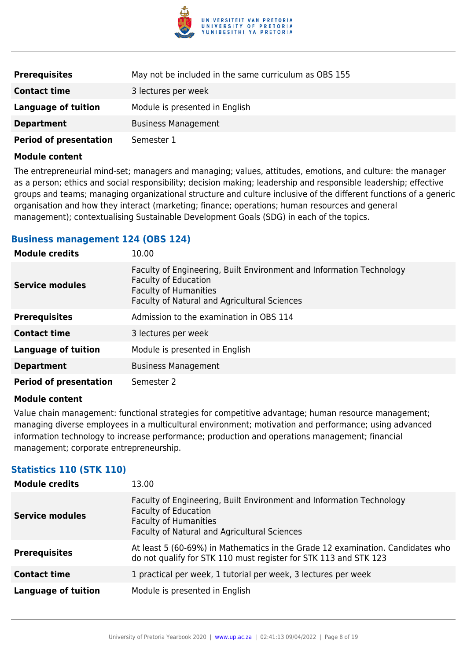

| <b>Prerequisites</b>          | May not be included in the same curriculum as OBS 155 |
|-------------------------------|-------------------------------------------------------|
| <b>Contact time</b>           | 3 lectures per week                                   |
| <b>Language of tuition</b>    | Module is presented in English                        |
| <b>Department</b>             | <b>Business Management</b>                            |
| <b>Period of presentation</b> | Semester 1                                            |

The entrepreneurial mind-set; managers and managing; values, attitudes, emotions, and culture: the manager as a person; ethics and social responsibility; decision making; leadership and responsible leadership; effective groups and teams; managing organizational structure and culture inclusive of the different functions of a generic organisation and how they interact (marketing; finance; operations; human resources and general management); contextualising Sustainable Development Goals (SDG) in each of the topics.

### **Business management 124 (OBS 124)**

| <b>Module credits</b>         | 10.00                                                                                                                                                                               |
|-------------------------------|-------------------------------------------------------------------------------------------------------------------------------------------------------------------------------------|
| <b>Service modules</b>        | Faculty of Engineering, Built Environment and Information Technology<br><b>Faculty of Education</b><br><b>Faculty of Humanities</b><br>Faculty of Natural and Agricultural Sciences |
| <b>Prerequisites</b>          | Admission to the examination in OBS 114                                                                                                                                             |
| <b>Contact time</b>           | 3 lectures per week                                                                                                                                                                 |
| Language of tuition           | Module is presented in English                                                                                                                                                      |
| <b>Department</b>             | <b>Business Management</b>                                                                                                                                                          |
| <b>Period of presentation</b> | Semester 2                                                                                                                                                                          |

#### **Module content**

Value chain management: functional strategies for competitive advantage; human resource management; managing diverse employees in a multicultural environment; motivation and performance; using advanced information technology to increase performance; production and operations management; financial management; corporate entrepreneurship.

# **Statistics 110 (STK 110)**

| <b>Module credits</b>      | 13.00                                                                                                                                                                               |
|----------------------------|-------------------------------------------------------------------------------------------------------------------------------------------------------------------------------------|
| <b>Service modules</b>     | Faculty of Engineering, Built Environment and Information Technology<br><b>Faculty of Education</b><br><b>Faculty of Humanities</b><br>Faculty of Natural and Agricultural Sciences |
| <b>Prerequisites</b>       | At least 5 (60-69%) in Mathematics in the Grade 12 examination. Candidates who<br>do not qualify for STK 110 must register for STK 113 and STK 123                                  |
| <b>Contact time</b>        | 1 practical per week, 1 tutorial per week, 3 lectures per week                                                                                                                      |
| <b>Language of tuition</b> | Module is presented in English                                                                                                                                                      |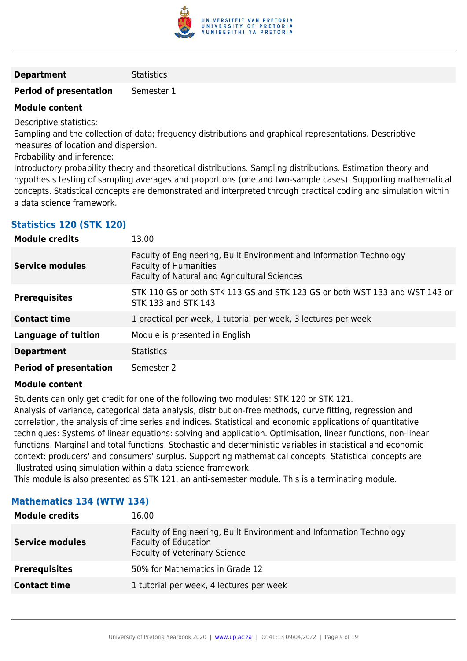

#### **Department** Statistics

#### **Period of presentation** Semester 1

#### **Module content**

Descriptive statistics:

Sampling and the collection of data; frequency distributions and graphical representations. Descriptive measures of location and dispersion.

Probability and inference:

Introductory probability theory and theoretical distributions. Sampling distributions. Estimation theory and hypothesis testing of sampling averages and proportions (one and two-sample cases). Supporting mathematical concepts. Statistical concepts are demonstrated and interpreted through practical coding and simulation within a data science framework.

# **Statistics 120 (STK 120)**

| <b>Module credits</b>         | 13.00                                                                                                                                                |
|-------------------------------|------------------------------------------------------------------------------------------------------------------------------------------------------|
| <b>Service modules</b>        | Faculty of Engineering, Built Environment and Information Technology<br><b>Faculty of Humanities</b><br>Faculty of Natural and Agricultural Sciences |
| <b>Prerequisites</b>          | STK 110 GS or both STK 113 GS and STK 123 GS or both WST 133 and WST 143 or<br>STK 133 and STK 143                                                   |
| <b>Contact time</b>           | 1 practical per week, 1 tutorial per week, 3 lectures per week                                                                                       |
| <b>Language of tuition</b>    | Module is presented in English                                                                                                                       |
| <b>Department</b>             | <b>Statistics</b>                                                                                                                                    |
| <b>Period of presentation</b> | Semester 2                                                                                                                                           |

#### **Module content**

Students can only get credit for one of the following two modules: STK 120 or STK 121.

Analysis of variance, categorical data analysis, distribution-free methods, curve fitting, regression and correlation, the analysis of time series and indices. Statistical and economic applications of quantitative techniques: Systems of linear equations: solving and application. Optimisation, linear functions, non-linear functions. Marginal and total functions. Stochastic and deterministic variables in statistical and economic context: producers' and consumers' surplus. Supporting mathematical concepts. Statistical concepts are illustrated using simulation within a data science framework.

This module is also presented as STK 121, an anti-semester module. This is a terminating module.

| <b>Module credits</b>  | 16.00                                                                                                                                       |
|------------------------|---------------------------------------------------------------------------------------------------------------------------------------------|
| <b>Service modules</b> | Faculty of Engineering, Built Environment and Information Technology<br><b>Faculty of Education</b><br><b>Faculty of Veterinary Science</b> |
| <b>Prerequisites</b>   | 50% for Mathematics in Grade 12                                                                                                             |
| <b>Contact time</b>    | 1 tutorial per week, 4 lectures per week                                                                                                    |

#### **Mathematics 134 (WTW 134)**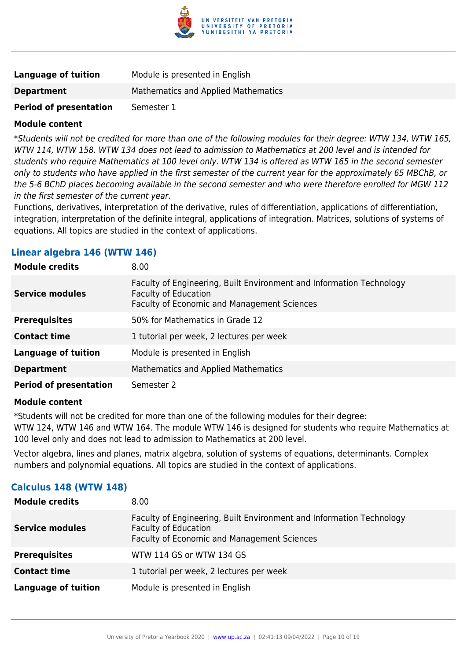

| <b>Language of tuition</b>    | Module is presented in English      |
|-------------------------------|-------------------------------------|
| <b>Department</b>             | Mathematics and Applied Mathematics |
| <b>Period of presentation</b> | Semester 1                          |

\*Students will not be credited for more than one of the following modules for their degree: WTW 134, WTW 165, WTW 114, WTW 158. WTW 134 does not lead to admission to Mathematics at 200 level and is intended for students who require Mathematics at 100 level only. WTW 134 is offered as WTW 165 in the second semester only to students who have applied in the first semester of the current year for the approximately 65 MBChB, or the 5-6 BChD places becoming available in the second semester and who were therefore enrolled for MGW 112 in the first semester of the current year.

Functions, derivatives, interpretation of the derivative, rules of differentiation, applications of differentiation, integration, interpretation of the definite integral, applications of integration. Matrices, solutions of systems of equations. All topics are studied in the context of applications.

#### **Linear algebra 146 (WTW 146)**

| <b>Module credits</b>         | 8.00                                                                                                                                               |
|-------------------------------|----------------------------------------------------------------------------------------------------------------------------------------------------|
| <b>Service modules</b>        | Faculty of Engineering, Built Environment and Information Technology<br><b>Faculty of Education</b><br>Faculty of Economic and Management Sciences |
| <b>Prerequisites</b>          | 50% for Mathematics in Grade 12                                                                                                                    |
| <b>Contact time</b>           | 1 tutorial per week, 2 lectures per week                                                                                                           |
| <b>Language of tuition</b>    | Module is presented in English                                                                                                                     |
| <b>Department</b>             | Mathematics and Applied Mathematics                                                                                                                |
| <b>Period of presentation</b> | Semester 2                                                                                                                                         |

#### **Module content**

\*Students will not be credited for more than one of the following modules for their degree:

WTW 124, WTW 146 and WTW 164. The module WTW 146 is designed for students who require Mathematics at 100 level only and does not lead to admission to Mathematics at 200 level.

Vector algebra, lines and planes, matrix algebra, solution of systems of equations, determinants. Complex numbers and polynomial equations. All topics are studied in the context of applications.

# **Calculus 148 (WTW 148)**

| <b>Module credits</b>      | 8.00                                                                                                                                               |
|----------------------------|----------------------------------------------------------------------------------------------------------------------------------------------------|
| <b>Service modules</b>     | Faculty of Engineering, Built Environment and Information Technology<br><b>Faculty of Education</b><br>Faculty of Economic and Management Sciences |
| <b>Prerequisites</b>       | WTW 114 GS or WTW 134 GS                                                                                                                           |
| <b>Contact time</b>        | 1 tutorial per week, 2 lectures per week                                                                                                           |
| <b>Language of tuition</b> | Module is presented in English                                                                                                                     |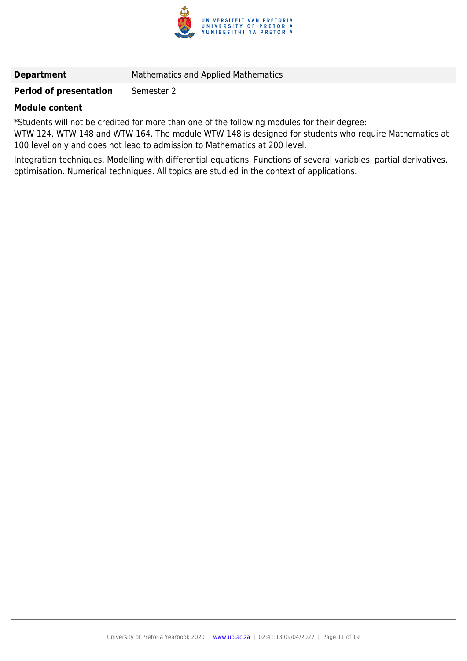

**Department** Mathematics and Applied Mathematics

### **Period of presentation** Semester 2

#### **Module content**

\*Students will not be credited for more than one of the following modules for their degree:

WTW 124, WTW 148 and WTW 164. The module WTW 148 is designed for students who require Mathematics at 100 level only and does not lead to admission to Mathematics at 200 level.

Integration techniques. Modelling with differential equations. Functions of several variables, partial derivatives, optimisation. Numerical techniques. All topics are studied in the context of applications.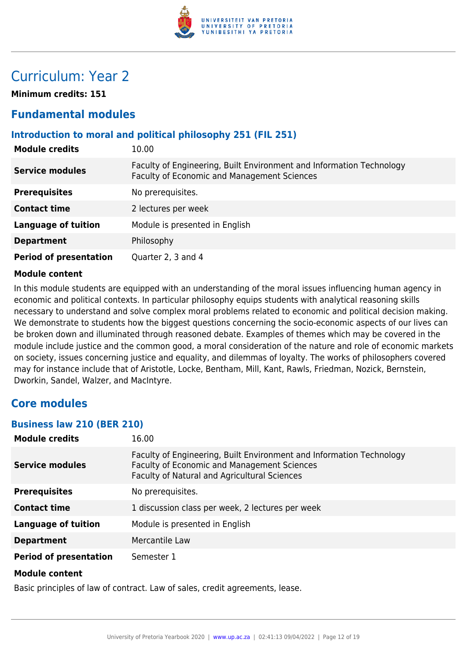

# Curriculum: Year 2

**Minimum credits: 151**

# **Fundamental modules**

# **Introduction to moral and political philosophy 251 (FIL 251)**

| <b>Module credits</b>         | 10.00                                                                                                                      |
|-------------------------------|----------------------------------------------------------------------------------------------------------------------------|
| <b>Service modules</b>        | Faculty of Engineering, Built Environment and Information Technology<br><b>Faculty of Economic and Management Sciences</b> |
| <b>Prerequisites</b>          | No prerequisites.                                                                                                          |
| <b>Contact time</b>           | 2 lectures per week                                                                                                        |
| <b>Language of tuition</b>    | Module is presented in English                                                                                             |
| <b>Department</b>             | Philosophy                                                                                                                 |
| <b>Period of presentation</b> | Quarter 2, 3 and 4                                                                                                         |

#### **Module content**

In this module students are equipped with an understanding of the moral issues influencing human agency in economic and political contexts. In particular philosophy equips students with analytical reasoning skills necessary to understand and solve complex moral problems related to economic and political decision making. We demonstrate to students how the biggest questions concerning the socio-economic aspects of our lives can be broken down and illuminated through reasoned debate. Examples of themes which may be covered in the module include justice and the common good, a moral consideration of the nature and role of economic markets on society, issues concerning justice and equality, and dilemmas of loyalty. The works of philosophers covered may for instance include that of Aristotle, Locke, Bentham, Mill, Kant, Rawls, Friedman, Nozick, Bernstein, Dworkin, Sandel, Walzer, and MacIntyre.

# **Core modules**

#### **Business law 210 (BER 210)**

| <b>Module credits</b>         | 16.00                                                                                                                                                                      |
|-------------------------------|----------------------------------------------------------------------------------------------------------------------------------------------------------------------------|
| <b>Service modules</b>        | Faculty of Engineering, Built Environment and Information Technology<br><b>Faculty of Economic and Management Sciences</b><br>Faculty of Natural and Agricultural Sciences |
| <b>Prerequisites</b>          | No prerequisites.                                                                                                                                                          |
| <b>Contact time</b>           | 1 discussion class per week, 2 lectures per week                                                                                                                           |
| Language of tuition           | Module is presented in English                                                                                                                                             |
| <b>Department</b>             | Mercantile Law                                                                                                                                                             |
| <b>Period of presentation</b> | Semester 1                                                                                                                                                                 |
| <b>Module content</b>         |                                                                                                                                                                            |

Basic principles of law of contract. Law of sales, credit agreements, lease.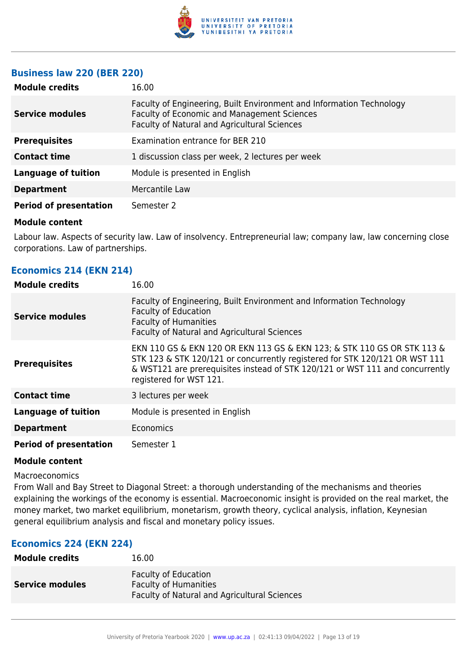

### **Business law 220 (BER 220)**

| <b>Module credits</b>         | 16.00                                                                                                                                                               |
|-------------------------------|---------------------------------------------------------------------------------------------------------------------------------------------------------------------|
| <b>Service modules</b>        | Faculty of Engineering, Built Environment and Information Technology<br>Faculty of Economic and Management Sciences<br>Faculty of Natural and Agricultural Sciences |
| <b>Prerequisites</b>          | Examination entrance for BER 210                                                                                                                                    |
| <b>Contact time</b>           | 1 discussion class per week, 2 lectures per week                                                                                                                    |
| <b>Language of tuition</b>    | Module is presented in English                                                                                                                                      |
| <b>Department</b>             | Mercantile Law                                                                                                                                                      |
| <b>Period of presentation</b> | Semester 2                                                                                                                                                          |

#### **Module content**

Labour law. Aspects of security law. Law of insolvency. Entrepreneurial law; company law, law concerning close corporations. Law of partnerships.

| <b>Economics 214 (EKN 214)</b> |  |  |  |  |
|--------------------------------|--|--|--|--|
|--------------------------------|--|--|--|--|

| <b>Module credits</b>         | 16.00                                                                                                                                                                                                                                                              |
|-------------------------------|--------------------------------------------------------------------------------------------------------------------------------------------------------------------------------------------------------------------------------------------------------------------|
| <b>Service modules</b>        | Faculty of Engineering, Built Environment and Information Technology<br><b>Faculty of Education</b><br><b>Faculty of Humanities</b><br>Faculty of Natural and Agricultural Sciences                                                                                |
| <b>Prerequisites</b>          | EKN 110 GS & EKN 120 OR EKN 113 GS & EKN 123; & STK 110 GS OR STK 113 &<br>STK 123 & STK 120/121 or concurrently registered for STK 120/121 OR WST 111<br>& WST121 are prerequisites instead of STK 120/121 or WST 111 and concurrently<br>registered for WST 121. |
| <b>Contact time</b>           | 3 lectures per week                                                                                                                                                                                                                                                |
| <b>Language of tuition</b>    | Module is presented in English                                                                                                                                                                                                                                     |
| <b>Department</b>             | Economics                                                                                                                                                                                                                                                          |
| <b>Period of presentation</b> | Semester 1                                                                                                                                                                                                                                                         |

#### **Module content**

**Macroeconomics** 

From Wall and Bay Street to Diagonal Street: a thorough understanding of the mechanisms and theories explaining the workings of the economy is essential. Macroeconomic insight is provided on the real market, the money market, two market equilibrium, monetarism, growth theory, cyclical analysis, inflation, Keynesian general equilibrium analysis and fiscal and monetary policy issues.

# **Economics 224 (EKN 224)**

| <b>Module credits</b>  | 16.00                                                                                                       |
|------------------------|-------------------------------------------------------------------------------------------------------------|
| <b>Service modules</b> | <b>Faculty of Education</b><br><b>Faculty of Humanities</b><br>Faculty of Natural and Agricultural Sciences |
|                        |                                                                                                             |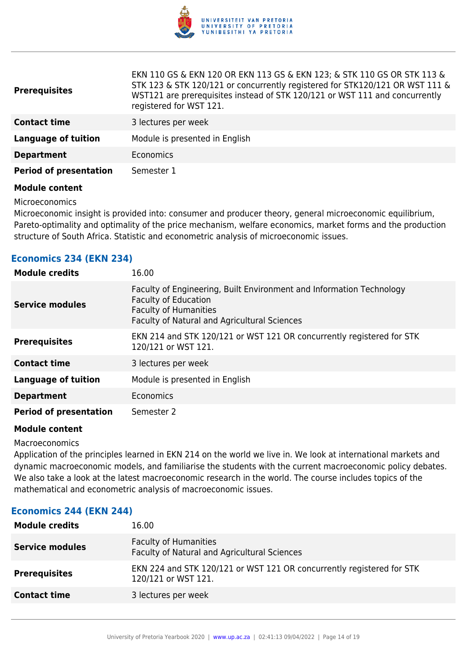

| <b>Prerequisites</b>          | EKN 110 GS & EKN 120 OR EKN 113 GS & EKN 123; & STK 110 GS OR STK 113 &<br>STK 123 & STK 120/121 or concurrently registered for STK120/121 OR WST 111 &<br>WST121 are prerequisites instead of STK 120/121 or WST 111 and concurrently<br>registered for WST 121. |
|-------------------------------|-------------------------------------------------------------------------------------------------------------------------------------------------------------------------------------------------------------------------------------------------------------------|
| <b>Contact time</b>           | 3 lectures per week                                                                                                                                                                                                                                               |
| <b>Language of tuition</b>    | Module is presented in English                                                                                                                                                                                                                                    |
| <b>Department</b>             | Economics                                                                                                                                                                                                                                                         |
| <b>Period of presentation</b> | Semester 1                                                                                                                                                                                                                                                        |
| Madula aantant                |                                                                                                                                                                                                                                                                   |

Microeconomics

**Economics 234 (EKN 234)**

Microeconomic insight is provided into: consumer and producer theory, general microeconomic equilibrium, Pareto-optimality and optimality of the price mechanism, welfare economics, market forms and the production structure of South Africa. Statistic and econometric analysis of microeconomic issues.

| <b>Module credits</b>         | 16.00                                                                                                                                                                               |
|-------------------------------|-------------------------------------------------------------------------------------------------------------------------------------------------------------------------------------|
| <b>Service modules</b>        | Faculty of Engineering, Built Environment and Information Technology<br><b>Faculty of Education</b><br><b>Faculty of Humanities</b><br>Faculty of Natural and Agricultural Sciences |
| <b>Prerequisites</b>          | EKN 214 and STK 120/121 or WST 121 OR concurrently registered for STK<br>120/121 or WST 121.                                                                                        |
| <b>Contact time</b>           | 3 lectures per week                                                                                                                                                                 |
| <b>Language of tuition</b>    | Module is presented in English                                                                                                                                                      |
| <b>Department</b>             | Economics                                                                                                                                                                           |
| <b>Period of presentation</b> | Semester 2                                                                                                                                                                          |

#### **Module content**

Macroeconomics

Application of the principles learned in EKN 214 on the world we live in. We look at international markets and dynamic macroeconomic models, and familiarise the students with the current macroeconomic policy debates. We also take a look at the latest macroeconomic research in the world. The course includes topics of the mathematical and econometric analysis of macroeconomic issues.

#### **Economics 244 (EKN 244)**

| <b>Module credits</b>  | 16.00                                                                                        |
|------------------------|----------------------------------------------------------------------------------------------|
| <b>Service modules</b> | <b>Faculty of Humanities</b><br>Faculty of Natural and Agricultural Sciences                 |
| <b>Prerequisites</b>   | EKN 224 and STK 120/121 or WST 121 OR concurrently registered for STK<br>120/121 or WST 121. |
| <b>Contact time</b>    | 3 lectures per week                                                                          |
|                        |                                                                                              |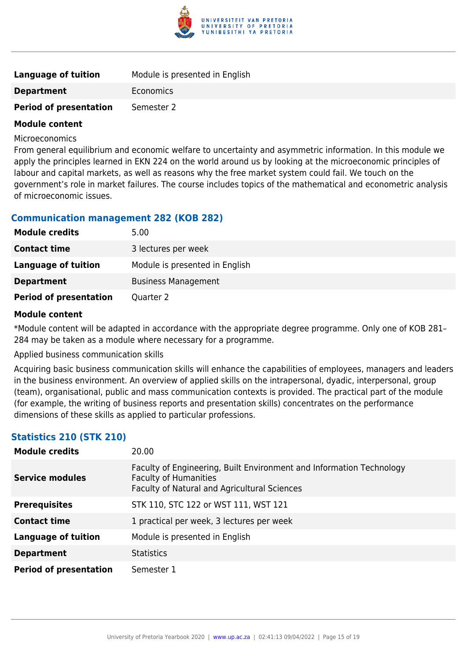

| <b>Language of tuition</b>    | Module is presented in English |
|-------------------------------|--------------------------------|
| <b>Department</b>             | Economics                      |
| <b>Period of presentation</b> | Semester 2                     |

Microeconomics

From general equilibrium and economic welfare to uncertainty and asymmetric information. In this module we apply the principles learned in EKN 224 on the world around us by looking at the microeconomic principles of labour and capital markets, as well as reasons why the free market system could fail. We touch on the government's role in market failures. The course includes topics of the mathematical and econometric analysis of microeconomic issues.

#### **Communication management 282 (KOB 282)**

| <b>Module credits</b>         | 5.00                           |
|-------------------------------|--------------------------------|
| <b>Contact time</b>           | 3 lectures per week            |
| Language of tuition           | Module is presented in English |
| <b>Department</b>             | <b>Business Management</b>     |
| <b>Period of presentation</b> | Quarter 2                      |

#### **Module content**

\*Module content will be adapted in accordance with the appropriate degree programme. Only one of KOB 281– 284 may be taken as a module where necessary for a programme.

Applied business communication skills

Acquiring basic business communication skills will enhance the capabilities of employees, managers and leaders in the business environment. An overview of applied skills on the intrapersonal, dyadic, interpersonal, group (team), organisational, public and mass communication contexts is provided. The practical part of the module (for example, the writing of business reports and presentation skills) concentrates on the performance dimensions of these skills as applied to particular professions.

# **Statistics 210 (STK 210)**

| <b>Module credits</b>         | 20.00                                                                                                                                                |
|-------------------------------|------------------------------------------------------------------------------------------------------------------------------------------------------|
| <b>Service modules</b>        | Faculty of Engineering, Built Environment and Information Technology<br><b>Faculty of Humanities</b><br>Faculty of Natural and Agricultural Sciences |
| <b>Prerequisites</b>          | STK 110, STC 122 or WST 111, WST 121                                                                                                                 |
| <b>Contact time</b>           | 1 practical per week, 3 lectures per week                                                                                                            |
| <b>Language of tuition</b>    | Module is presented in English                                                                                                                       |
| <b>Department</b>             | <b>Statistics</b>                                                                                                                                    |
| <b>Period of presentation</b> | Semester 1                                                                                                                                           |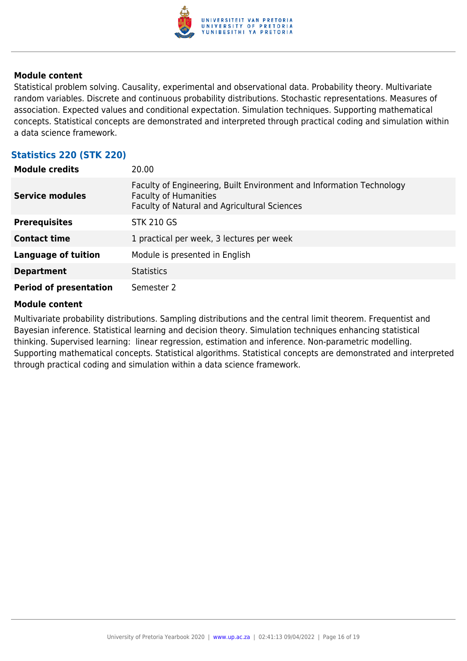

Statistical problem solving. Causality, experimental and observational data. Probability theory. Multivariate random variables. Discrete and continuous probability distributions. Stochastic representations. Measures of association. Expected values and conditional expectation. Simulation techniques. Supporting mathematical concepts. Statistical concepts are demonstrated and interpreted through practical coding and simulation within a data science framework.

### **Statistics 220 (STK 220)**

| <b>Module credits</b>         | 20.00                                                                                                                                                |
|-------------------------------|------------------------------------------------------------------------------------------------------------------------------------------------------|
| <b>Service modules</b>        | Faculty of Engineering, Built Environment and Information Technology<br><b>Faculty of Humanities</b><br>Faculty of Natural and Agricultural Sciences |
| <b>Prerequisites</b>          | <b>STK 210 GS</b>                                                                                                                                    |
| <b>Contact time</b>           | 1 practical per week, 3 lectures per week                                                                                                            |
| <b>Language of tuition</b>    | Module is presented in English                                                                                                                       |
| <b>Department</b>             | <b>Statistics</b>                                                                                                                                    |
| <b>Period of presentation</b> | Semester 2                                                                                                                                           |

#### **Module content**

Multivariate probability distributions. Sampling distributions and the central limit theorem. Frequentist and Bayesian inference. Statistical learning and decision theory. Simulation techniques enhancing statistical thinking. Supervised learning: linear regression, estimation and inference. Non-parametric modelling. Supporting mathematical concepts. Statistical algorithms. Statistical concepts are demonstrated and interpreted through practical coding and simulation within a data science framework.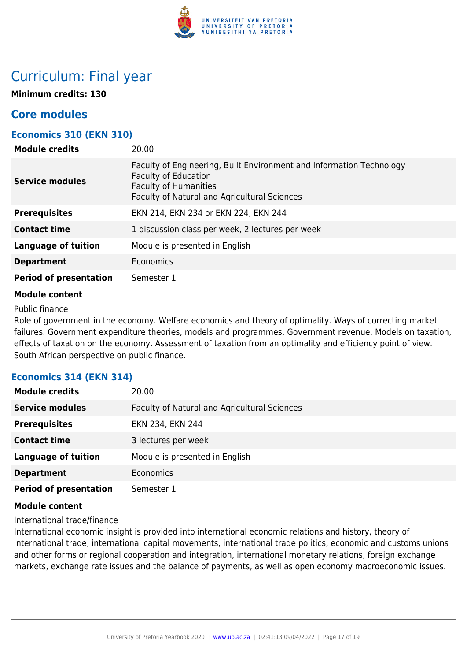

# Curriculum: Final year

**Minimum credits: 130**

# **Core modules**

# **Economics 310 (EKN 310)**

| <b>Module credits</b>         | 20.00                                                                                                                                                                               |
|-------------------------------|-------------------------------------------------------------------------------------------------------------------------------------------------------------------------------------|
| <b>Service modules</b>        | Faculty of Engineering, Built Environment and Information Technology<br><b>Faculty of Education</b><br><b>Faculty of Humanities</b><br>Faculty of Natural and Agricultural Sciences |
| <b>Prerequisites</b>          | EKN 214, EKN 234 or EKN 224, EKN 244                                                                                                                                                |
| <b>Contact time</b>           | 1 discussion class per week, 2 lectures per week                                                                                                                                    |
| Language of tuition           | Module is presented in English                                                                                                                                                      |
| <b>Department</b>             | <b>Economics</b>                                                                                                                                                                    |
| <b>Period of presentation</b> | Semester 1                                                                                                                                                                          |

#### **Module content**

Public finance

Role of government in the economy. Welfare economics and theory of optimality. Ways of correcting market failures. Government expenditure theories, models and programmes. Government revenue. Models on taxation, effects of taxation on the economy. Assessment of taxation from an optimality and efficiency point of view. South African perspective on public finance.

# **Economics 314 (EKN 314)**

| <b>Module credits</b>         | 20.00                                        |
|-------------------------------|----------------------------------------------|
| <b>Service modules</b>        | Faculty of Natural and Agricultural Sciences |
| <b>Prerequisites</b>          | EKN 234, EKN 244                             |
| <b>Contact time</b>           | 3 lectures per week                          |
| <b>Language of tuition</b>    | Module is presented in English               |
| <b>Department</b>             | Economics                                    |
| <b>Period of presentation</b> | Semester 1                                   |

#### **Module content**

International trade/finance

International economic insight is provided into international economic relations and history, theory of international trade, international capital movements, international trade politics, economic and customs unions and other forms or regional cooperation and integration, international monetary relations, foreign exchange markets, exchange rate issues and the balance of payments, as well as open economy macroeconomic issues.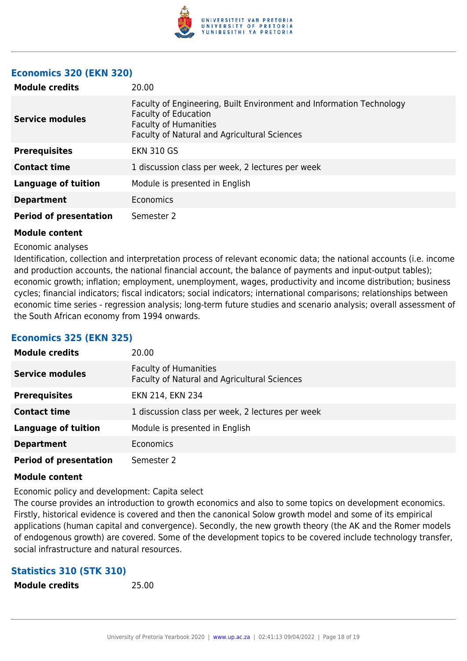

### **Economics 320 (EKN 320)**

| <b>Module credits</b>         | 20.00                                                                                                                                                                               |
|-------------------------------|-------------------------------------------------------------------------------------------------------------------------------------------------------------------------------------|
| <b>Service modules</b>        | Faculty of Engineering, Built Environment and Information Technology<br><b>Faculty of Education</b><br><b>Faculty of Humanities</b><br>Faculty of Natural and Agricultural Sciences |
| <b>Prerequisites</b>          | <b>EKN 310 GS</b>                                                                                                                                                                   |
| <b>Contact time</b>           | 1 discussion class per week, 2 lectures per week                                                                                                                                    |
| <b>Language of tuition</b>    | Module is presented in English                                                                                                                                                      |
| <b>Department</b>             | Economics                                                                                                                                                                           |
| <b>Period of presentation</b> | Semester 2                                                                                                                                                                          |

#### **Module content**

#### Economic analyses

Identification, collection and interpretation process of relevant economic data; the national accounts (i.e. income and production accounts, the national financial account, the balance of payments and input-output tables); economic growth; inflation; employment, unemployment, wages, productivity and income distribution; business cycles; financial indicators; fiscal indicators; social indicators; international comparisons; relationships between economic time series - regression analysis; long-term future studies and scenario analysis; overall assessment of the South African economy from 1994 onwards.

#### **Economics 325 (EKN 325)**

| <b>Module credits</b>         | 20.00                                                                        |
|-------------------------------|------------------------------------------------------------------------------|
| <b>Service modules</b>        | <b>Faculty of Humanities</b><br>Faculty of Natural and Agricultural Sciences |
| <b>Prerequisites</b>          | EKN 214, EKN 234                                                             |
| <b>Contact time</b>           | 1 discussion class per week, 2 lectures per week                             |
| <b>Language of tuition</b>    | Module is presented in English                                               |
| <b>Department</b>             | Economics                                                                    |
| <b>Period of presentation</b> | Semester 2                                                                   |

#### **Module content**

Economic policy and development: Capita select

The course provides an introduction to growth economics and also to some topics on development economics. Firstly, historical evidence is covered and then the canonical Solow growth model and some of its empirical applications (human capital and convergence). Secondly, the new growth theory (the AK and the Romer models of endogenous growth) are covered. Some of the development topics to be covered include technology transfer, social infrastructure and natural resources.

#### **Statistics 310 (STK 310)**

| <b>Module credits</b> |  |  |
|-----------------------|--|--|
|-----------------------|--|--|

**Module credits** 25.00